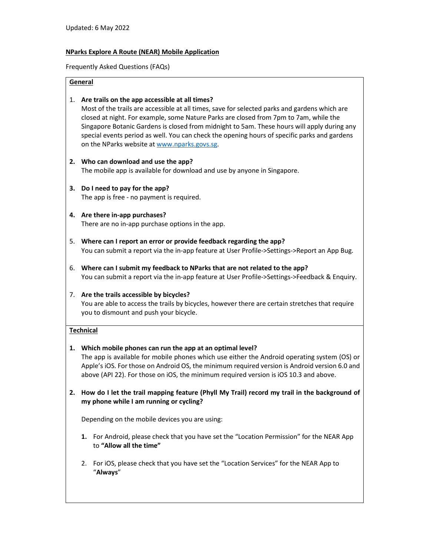# **NParks Explore A Route (NEAR) Mobile Application**

Frequently Asked Questions (FAQs)

## **General**

## 1. **Are trails on the app accessible at all times?**

Most of the trails are accessible at all times, save for selected parks and gardens which are closed at night. For example, some Nature Parks are closed from 7pm to 7am, while the Singapore Botanic Gardens is closed from midnight to 5am. These hours will apply during any special events period as well. You can check the opening hours of specific parks and gardens on the NParks website at www.nparks.govs.sg.

## **2. Who can download and use the app?**

The mobile app is available for download and use by anyone in Singapore.

**3. Do I need to pay for the app?**  The app is free - no payment is required.

#### **4. Are there in-app purchases?**  There are no in-app purchase options in the app.

- 5. **Where can I report an error or provide feedback regarding the app?**  You can submit a report via the in-app feature at User Profile->Settings->Report an App Bug.
- 6. **Where can I submit my feedback to NParks that are not related to the app?** You can submit a report via the in-app feature at User Profile->Settings->Feedback & Enquiry.

# 7. **Are the trails accessible by bicycles?**

You are able to access the trails by bicycles, however there are certain stretches that require you to dismount and push your bicycle.

# **Technical**

# **1. Which mobile phones can run the app at an optimal level?**

The app is available for mobile phones which use either the Android operating system (OS) or Apple's iOS. For those on Android OS, the minimum required version is Android version 6.0 and above (API 22). For those on iOS, the minimum required version is iOS 10.3 and above.

**2. How do I let the trail mapping feature (Phyll My Trail) record my trail in the background of my phone while I am running or cycling?** 

Depending on the mobile devices you are using:

- **1.** For Android, please check that you have set the "Location Permission" for the NEAR App to **"Allow all the time"**
- 2. For iOS, please check that you have set the "Location Services" for the NEAR App to "**Always**"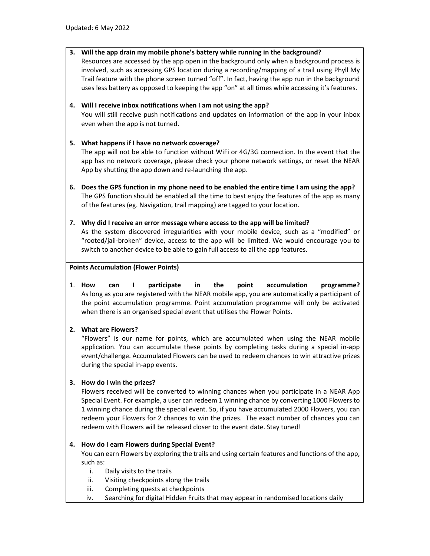# **3. Will the app drain my mobile phone's battery while running in the background?**

Resources are accessed by the app open in the background only when a background process is involved, such as accessing GPS location during a recording/mapping of a trail using Phyll My Trail feature with the phone screen turned "off". In fact, having the app run in the background uses less battery as opposed to keeping the app "on" at all times while accessing it's features.

# **4. Will I receive inbox notifications when I am not using the app?**

You will still receive push notifications and updates on information of the app in your inbox even when the app is not turned.

# **5. What happens if I have no network coverage?**

The app will not be able to function without WiFi or 4G/3G connection. In the event that the app has no network coverage, please check your phone network settings, or reset the NEAR App by shutting the app down and re-launching the app.

- **6. Does the GPS function in my phone need to be enabled the entire time I am using the app?**  The GPS function should be enabled all the time to best enjoy the features of the app as many of the features (eg. Navigation, trail mapping) are tagged to your location.
- **7. Why did I receive an error message where access to the app will be limited?**  As the system discovered irregularities with your mobile device, such as a "modified" or "rooted/jail-broken" device, access to the app will be limited. We would encourage you to switch to another device to be able to gain full access to all the app features.

## **Points Accumulation (Flower Points)**

1. **How can I participate in the point accumulation programme?** As long as you are registered with the NEAR mobile app, you are automatically a participant of the point accumulation programme. Point accumulation programme will only be activated when there is an organised special event that utilises the Flower Points.

# **2. What are Flowers?**

"Flowers" is our name for points, which are accumulated when using the NEAR mobile application. You can accumulate these points by completing tasks during a special in-app event/challenge. Accumulated Flowers can be used to redeem chances to win attractive prizes during the special in-app events.

# **3. How do I win the prizes?**

Flowers received will be converted to winning chances when you participate in a NEAR App Special Event. For example, a user can redeem 1 winning chance by converting 1000 Flowers to 1 winning chance during the special event. So, if you have accumulated 2000 Flowers, you can redeem your Flowers for 2 chances to win the prizes. The exact number of chances you can redeem with Flowers will be released closer to the event date. Stay tuned!

# **4. How do I earn Flowers during Special Event?**

You can earn Flowers by exploring the trails and using certain features and functions of the app, such as:

- i. Daily visits to the trails
- ii. Visiting checkpoints along the trails
- iii. Completing quests at checkpoints
- iv. Searching for digital Hidden Fruits that may appear in randomised locations daily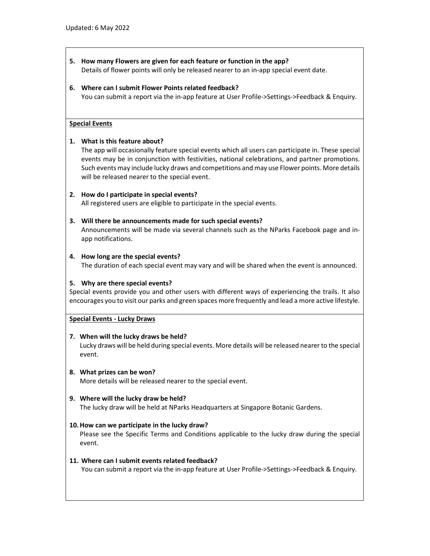**5. How many Flowers are given for each feature or function in the app?**  Details of flower points will only be released nearer to an in-app special event date.

#### **6. Where can I submit Flower Points related feedback?**

You can submit a report via the in-app feature at User Profile->Settings->Feedback & Enquiry.

#### **Special Events**

#### **1. What is this feature about?**

The app will occasionally feature special events which all users can participate in. These special events may be in conjunction with festivities, national celebrations, and partner promotions. Such events may include lucky draws and competitions and may use Flower points. More details will be released nearer to the special event.

#### **2. How do I participate in special events?**

All registered users are eligible to participate in the special events.

#### **3. Will there be announcements made for such special events?**

Announcements will be made via several channels such as the NParks Facebook page and inapp notifications.

#### **4. How long are the special events?**

The duration of each special event may vary and will be shared when the event is announced.

#### **5. Why are there special events?**

Special events provide you and other users with different ways of experiencing the trails. It also encourages you to visit our parks and green spaces more frequently and lead a more active lifestyle.

#### **Special Events - Lucky Draws**

#### **7. When will the lucky draws be held?**

Lucky draws will be held during special events. More details will be released nearer to the special event.

- **8. What prizes can be won?**  More details will be released nearer to the special event.
- **9. Where will the lucky draw be held?**  The lucky draw will be held at NParks Headquarters at Singapore Botanic Gardens.

#### **10.How can we participate in the lucky draw?**

Please see the Specific Terms and Conditions applicable to the lucky draw during the special event.

#### **11. Where can I submit events related feedback?**

You can submit a report via the in-app feature at User Profile->Settings->Feedback & Enquiry.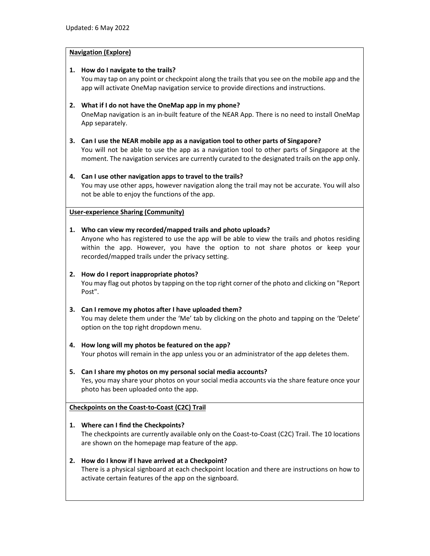## **Navigation (Explore)**

## **1. How do I navigate to the trails?**

You may tap on any point or checkpoint along the trails that you see on the mobile app and the app will activate OneMap navigation service to provide directions and instructions.

# **2. What if I do not have the OneMap app in my phone?**

OneMap navigation is an in-built feature of the NEAR App. There is no need to install OneMap App separately.

# **3. Can I use the NEAR mobile app as a navigation tool to other parts of Singapore?**

You will not be able to use the app as a navigation tool to other parts of Singapore at the moment. The navigation services are currently curated to the designated trails on the app only.

## **4. Can I use other navigation apps to travel to the trails?**

You may use other apps, however navigation along the trail may not be accurate. You will also not be able to enjoy the functions of the app.

## **User-experience Sharing (Community)**

## **1. Who can view my recorded/mapped trails and photo uploads?**

Anyone who has registered to use the app will be able to view the trails and photos residing within the app. However, you have the option to not share photos or keep your recorded/mapped trails under the privacy setting.

## **2. How do I report inappropriate photos?**

You may flag out photos by tapping on the top right corner of the photo and clicking on "Report Post".

# **3. Can I remove my photos after I have uploaded them?**

You may delete them under the 'Me' tab by clicking on the photo and tapping on the 'Delete' option on the top right dropdown menu.

# **4. How long will my photos be featured on the app?**

Your photos will remain in the app unless you or an administrator of the app deletes them.

# **5. Can I share my photos on my personal social media accounts?**

Yes, you may share your photos on your social media accounts via the share feature once your photo has been uploaded onto the app.

**Checkpoints on the Coast-to-Coast (C2C) Trail** 

# **1. Where can I find the Checkpoints?**

The checkpoints are currently available only on the Coast-to-Coast (C2C) Trail. The 10 locations are shown on the homepage map feature of the app.

#### **2. How do I know if I have arrived at a Checkpoint?**

There is a physical signboard at each checkpoint location and there are instructions on how to activate certain features of the app on the signboard.